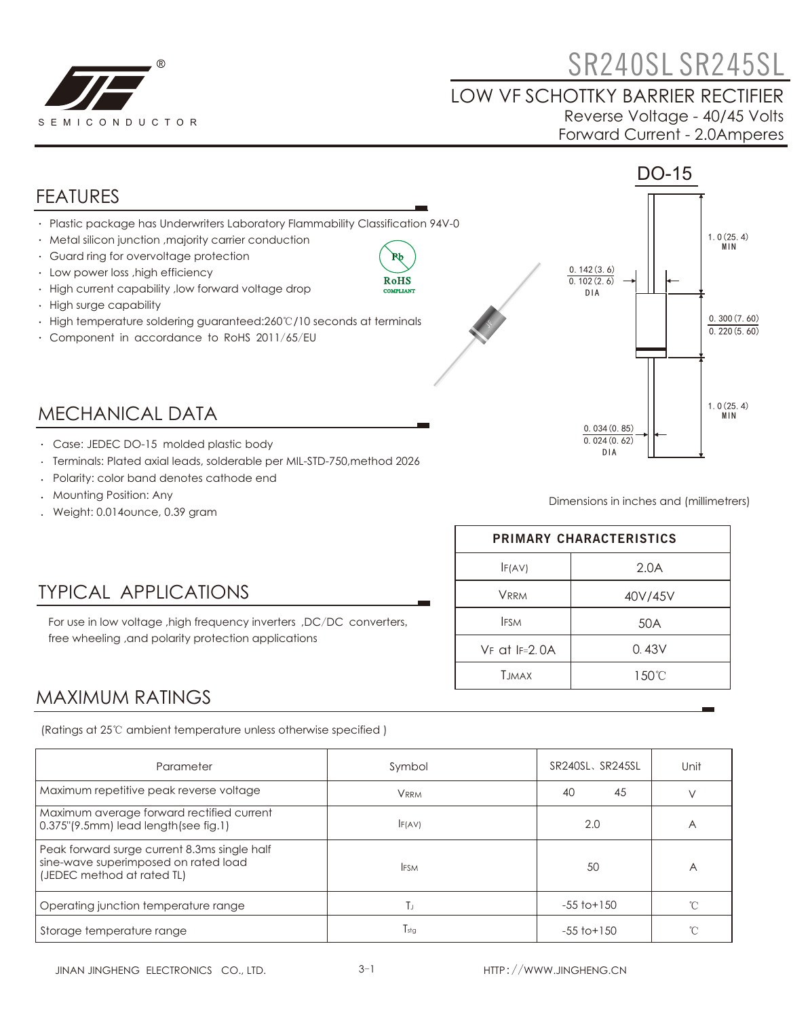

# **CONSERVATION SR240SL SR245SL**

#### LOW VF SCHOTTKY BARRIER RECTIFIER Reverse Voltage - 40/45 Volts Forward Current - 2.0Amperes



- Terminals: Plated axial leads, solderable per MIL-STD-750,method 2026
- Polarity: color band denotes cathode end
- Mounting Position: Any
- Weight: 0.014ounce, 0.39 gram

TYPICAL APPLICATIONS

free wheeling ,and polarity protection applications

Dimensions in inches and (millimetrers)

| <b>PRIMARY CHARACTERISTICS</b> |         |  |  |
|--------------------------------|---------|--|--|
| F(AV)                          | 2.0A    |  |  |
| <b>VRRM</b>                    | 40V/45V |  |  |
| <b>IFSM</b>                    | 50A     |  |  |
| $VF$ at $IF=2$ $0A$            | 0.43V   |  |  |
| <b>T.IMAX</b>                  | 150°C   |  |  |

### MAXIMUM RATINGS

(Ratings at 25℃ ambient temperature unless otherwise specified )

For use in low voltage ,high frequency inverters ,DC/DC converters,

| Parameter                                                                                                          | Symbol        | SR240SL, SR245SL | Unit |
|--------------------------------------------------------------------------------------------------------------------|---------------|------------------|------|
| Maximum repetitive peak reverse voltage                                                                            | <b>VRRM</b>   | 40<br>45         |      |
| Maximum average forward rectified current<br>0.375"(9.5mm) lead length(see fig.1)                                  | F(AV)         | 2.0              | A    |
| Peak forward surge current 8.3ms single half<br>sine-wave superimposed on rated load<br>(JEDEC method at rated TL) | <b>IFSM</b>   | 50               | A    |
| Operating junction temperature range                                                                               | Тı            | $-55$ to $+150$  |      |
| Storage temperature range                                                                                          | $T_{\rm stg}$ | $-55$ to $+150$  |      |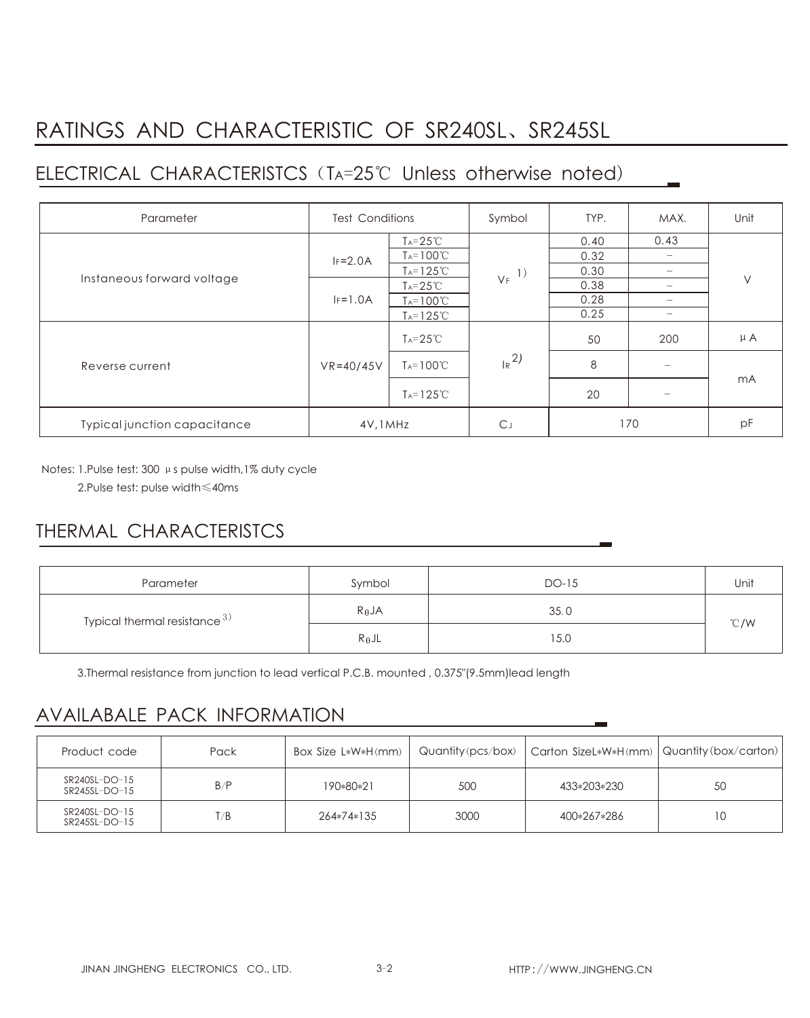## RATINGS AND CHARACTERISTIC OF SR240SL、SR245SL

## ELECTRICAL CHARACTERISTCS (TA=25℃ Unless otherwise noted)

| Parameter                    | <b>Test Conditions</b> |                       | Symbol              | TYP. | MAX.                     | Unit    |
|------------------------------|------------------------|-----------------------|---------------------|------|--------------------------|---------|
| Instaneous forward voltage   |                        | $T_A = 25^{\circ}C$   | $V_F$ <sup>1)</sup> | 0.40 | 0.43                     | $\vee$  |
|                              | $IF=2.0A$              | $T_A = 100^{\circ}C$  |                     | 0.32 | $\overline{\phantom{0}}$ |         |
|                              |                        | $T_A = 125^{\circ}C$  |                     | 0.30 | $\overline{\phantom{a}}$ |         |
|                              | $IF=1.0A$              | $T_A = 25^{\circ}C$   |                     | 0.38 | $\overline{\phantom{0}}$ |         |
|                              |                        | $T_A = 100^{\circ}C$  |                     | 0.28 | $\overline{\phantom{a}}$ |         |
|                              |                        | $T_A = 125^{\circ}C$  |                     | 0.25 | $\qquad \qquad$          |         |
| Reverse current              | $VR = 40/45V$          | $T_A = 25^{\circ}C$   | $R^{2)}$            | 50   | 200                      | $\mu$ A |
|                              |                        | $T_A = 100^{\circ}C$  |                     | 8    |                          | mA      |
|                              |                        | $T_A = 125^{\circ}$ C |                     | 20   |                          |         |
| Typical junction capacitance | 4V, 1MHz               |                       | C.                  | 170  |                          | pF      |

Notes: 1.Pulse test: 300 μs pulse width,1% duty cycle

2.Pulse test: pulse width≤40ms

## THERMAL CHARACTERISTCS

| Parameter                          | Symbol          | DO-15 | Unit           |  |
|------------------------------------|-----------------|-------|----------------|--|
| Typical thermal resistance $^{3)}$ | $R_{\theta}$ JA | 35.0  |                |  |
|                                    | $R_{\theta}$ JL | 15.0  | $^{\circ}$ C/W |  |

3.Thermal resistance from junction to lead vertical P.C.B. mounted , 0.375"(9.5mm)lead length

### AVAILABALE PACK INFORMATION

| Product code                   | Pack | Box Size L*W*H(mm) |      | $\alpha$ Quantity (pcs/box)   Carton SizeL*W*H(mm)   Quantity (box/carton) |     |
|--------------------------------|------|--------------------|------|----------------------------------------------------------------------------|-----|
| SR240SL-DO-15<br>SR245SL-DO-15 | B/P  | 190*80*21          | 500  | 433*203*230                                                                | 50  |
| SR240SL-DO-15<br>SR245SL-DO-15 | T/B  | 264*74*135         | 3000 | 400*267*286                                                                | 1 C |